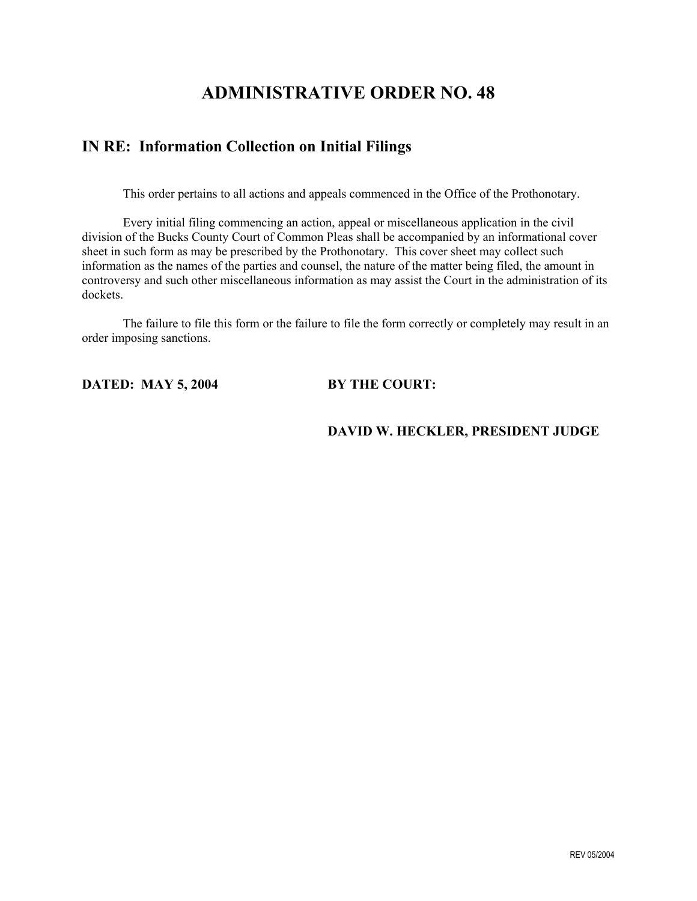# **ADMINISTRATIVE ORDER NO. 48**

# **IN RE: Information Collection on Initial Filings**

This order pertains to all actions and appeals commenced in the Office of the Prothonotary.

Every initial filing commencing an action, appeal or miscellaneous application in the civil division of the Bucks County Court of Common Pleas shall be accompanied by an informational cover sheet in such form as may be prescribed by the Prothonotary. This cover sheet may collect such information as the names of the parties and counsel, the nature of the matter being filed, the amount in controversy and such other miscellaneous information as may assist the Court in the administration of its dockets.

The failure to file this form or the failure to file the form correctly or completely may result in an order imposing sanctions.

**DATED: MAY 5, 2004 BY THE COURT:** 

### **DAVID W. HECKLER, PRESIDENT JUDGE**